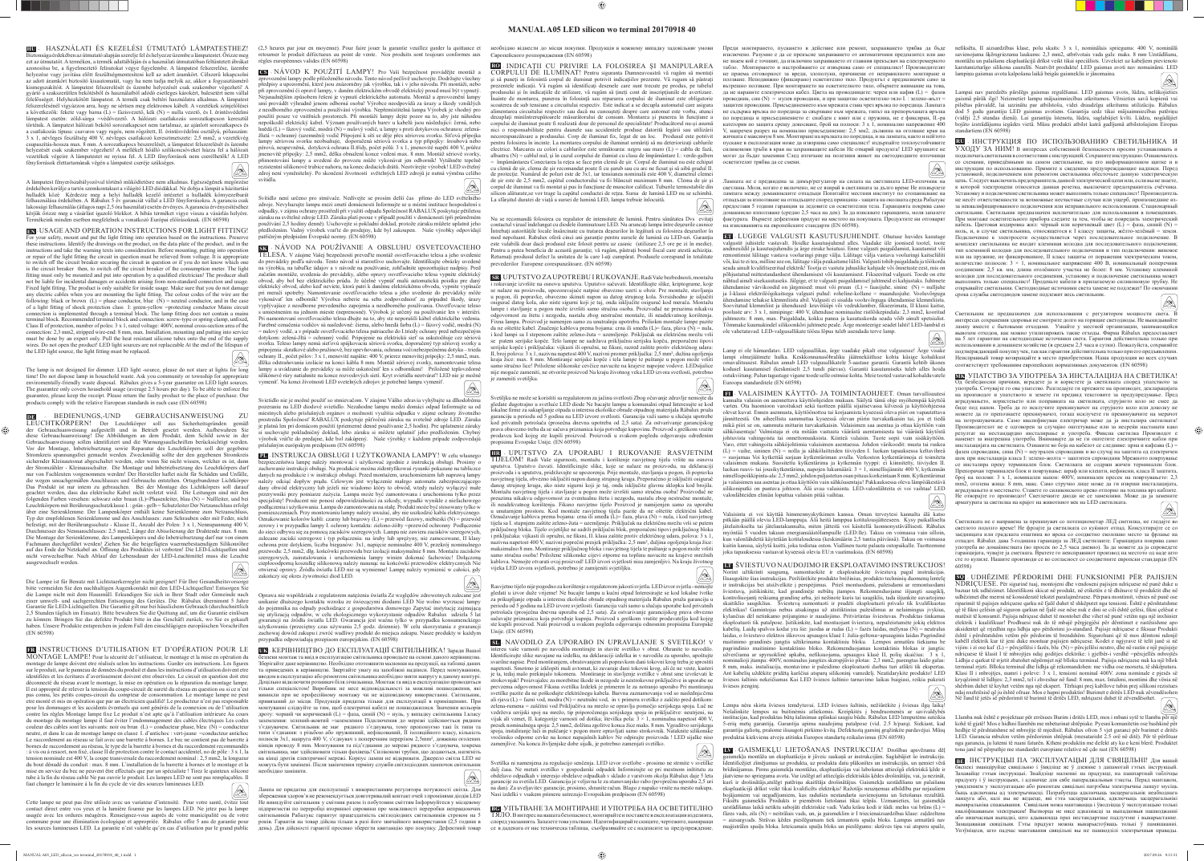## **MANUAL A05 LED silicon wo terminal 20170918 40**

**HU -** HASZNÁLATI ÉS KEZELÉSI ÚTMUTATÓ LÁMPATESTHEZ! sága érdekében az útmutató alapján szerelje fel és helyezze üzembe a lámpatestet. Őrizze meg ezt az útmutatót. A terméken, a termék adattábláján és a használati útmutatóban feltüntetett ábrákat azonosítsa be, a figyelmeztető feliratokat vegye figyelembe. A lámpatest felszerelése, üzembe helyezése vagy javítása előtt feszültségmentesíteni kell az adott áramkört. Célszerű lekapcsolni az adott áramkört biztosító kisautomatát, vagy ha nem tudja melyik az, akkor a fogyasztásmérő kismegszakítóit. A lámpatest felszerelését és üzembe helyezését csak szakember végezheti! A gyártó a szakszerűtlen bekötésből és használatból adódó esetleges károkért, balesetért nem vállal felelősséget. Helyhezkötött lámpatest. A termék csak beltéri használatra alkalmas. A lámpatest felszerelésénél vigyázzon arra, hogy ne sértsen meg elektromos kábelt. A vezetékek színjelölései a következők: fekete vagy barna (L) = fázisvezető, kék (N) = nulla vezető, és I. érintésvédelmi lámpatest esetén: zöld-sárga =védővezető. A hálózati csatlakozás sorozatkapcson keresztül történik. A lámpatest hálózati bekötő sorozatkapcsot nem tartalmaz, az ajánlott sorozatkapocs és a csatlakozás típusa: csavaros vagy rugós, nem rögzített, II. érintésvédelmi osztályú, pólusszám: 3 x 1, névleges feszültség 400 V, névleges csatlakozó keresztmetszete: 2,5 mm2, a vezetékvég csupaszítás-hossza max. 8 mm. A sorozatkapocs beszerelését, a lámpatest felszerelését és üzembe helyezését csak szakember végezheti! A mellékelt hőálló szilikoncsöveket húzza fel a hálózati vezetékek végeire A lámpatestet ne nyissa fel. A LED fényforrások nem cserélhetők! A LED fényforrások élettartamának végén a lámpatest cseréje szükséges. Q)

<u> La Carta de La Carta de la Carta de la Carta de la Carta de la Carta de la Carta de la Carta de la Carta de la </u>

**EN** - USAGE AND OPERATION INSTRUCTIONS FOR LIGHT FITTING! For your safety, mount and put the light fitting into operation based on the instructions. Preserve these instructions. Identify the drawings on the product, on the data plate of the product, and in the instructions and take the warning texts into consideration. Before mounting, putting into operation or repair of the light fitting the circuit in question must be relieved from voltage. It is appropriate to switch off the circuit breaker securing the circuit in question or if you do not know which one is the circuit breaker then, to switch off the circuit breaker of the consumption meter. The light fitting must only be mounted and put into operation by a qualified electrician! The producer shall not be liable for incidental damages or accidents arising from non-standard connection and usage. Fixed light fitting. The product is only suitable for inside usage. Make sure that you do not damage any electric cables when you are mounting the light fitting. The colour codes of the wire are the following: black or brown  $(L)$  = phase conductor, blue  $(N)$  = neutral conductor, and in the case of a light fitting of shock protection class I: green-yellow =protecting conductor Mains circuit connection is implemented through a terminal block. The lamp fitting does not contain a mains terminal block. Recommended terminal block and connection: screw-type or spring clamp, unfixed, Class II of protection, number of poles: 3 x 1, rated voltage: 400V, nominal cross-section area of the connection: 2,3 mm2, stripped wire-end: 8 mm, max. Installation, mounting and putting into service must be done by an expert only. Pull the heat resistant silicone tubes onto the end of the supply wires. Do not open the product! LED light sources are not replaceable At the end of the lifespan of the LED light source, the light fitting must be replaced.

A lámpatest fényerőszabályozóval történő működtetésre nem alkalmas. Egészségének megörzése érdekében kerülje a tartós szemkontakust a világító LED diódákkal. Ne dobja a lámpát a házitartási hulladék közé Kérdezze meg a helyi hulladék kezelő intézetet a hulladék környezetbarát felhasználása érdekében. A Rábalux 5 év garanciát vállal a LED fényforrásokra. A garancia csak lakossági felhasználás (átlagos napi 2,5 óra használat) esetén érvényes. A garancia érvényesítéséhez kérjük őrizze meg a vásárlást igazoló blokkot. A hibás terméket vigye vissza a vásárlás helyére. Termékeink minden esetben megfelelnek a vonatkozó Európai előírásoknak. (EN 60598)

**FR** -INSTRUCTIONS D'UTILISATION ET D'OPÉRATION POUR LE MONTAGE LAMPE! Pour la sécurité de l'utilisateur, le montage et la mise en opération du montage de lampe doivent etre réalisés selon les instructions. Garder ces instructions. Les figures sur le produit, sur le panneau de données du produit et dans les instructions d'utilisation doivent etre identifiées et les écritures d'avertissement doivent etre observées. Le circuit en question doit etre déconnecté du réseau avant le montage, la mise en opération ou la réparation du montage lampe. Il est approprié de relever la tension du coupe-circuit de sureté du réseau en question ou si ce n'est pas connu, les petits coupes-circuit du compteur de consommation. Le montage lampe ne peut etre monté et mis en opération que par un électricien qualifié! Le producteur n'est pas responsable pour les dommages et les accidents éventuels qui sont générés de la connexion ou de l'utilisation contre les règles Montage lampe fixe Le produit n'est apte qu'à l'utilisation intérieure Au cours du montage du montage lampe il faut éviter l'endommagement des cables électriques Les codes couleur des cables sont les suivants: noir ou brun  $(L)$  = conducteur phase, bleu  $(N)$  = conducteur neutre, et dans le cas de montage lampe en classe I. d'antichoc : vert-jaune =conducteur antichoc Le raccordement au réseau se fait avec une barrette à bornes. Le bec ne contient pas de barrette à bornes de raccordement au réseau, le type de la barrette à bornes et du raccordement recommandés : à vis ou à ressort, non fi xé, classe II de protection contre le contact accidentel, no de pôle : 3 x 1, la tension nominale est 400 V, la coupe transversale du raccordement nominal : 2,5 mm2, la longueur du bout dénudé du conduit : max. 8 mm. L'installation de la barrette à bornes et le montage et la mise en service du bec ne peuvent être effectués que par un spécialiste ! Tirez le quinteux silicone tube à la fin du réseau cable Ne pas ouvrir le produit. Les lampes LED ne sont pas remplaçables. Il faut changer le luminaire à la fin du cycle de vie des sources lumineuses LED.

The lamp is not designed for dimmer. LED light -source, please do not stare at lights for long time! Do not dispose lamp in household waste. Ask you community or township for appropriate enviromentally-friendly waste disposal. Rábalux gives a 5-year guarantee on LED light sources. The guarantee only covers household usage (average 2.5 hours per day). To be able to enforce the guarantee, please keep the receipt. Please return the faulty product to the place of purchase. Our products comply with the relative European standards in each case (EN 60598)

⊕

Cette lampe ne peut pas être utilisée avec un variateur d'intensité. Pour votre santé, évitez tout contact direct entre vos yeux et la lumière fournie par les lampes LED. Ne jetez pas la lampe usagée avec les ordures méagéres. Renseignez-vous auprés de votre municipalité ou de votre commune pour une élimination écologique et appropriée. Rábalux offre 5 ans de garantie pour

 $\oslash$ 

**DE** - BEDIENUNGS,-UND GEBRAUCHSANWEISUNG ZU LEUCHTKÖRPERN! Der Leuchtkörper soll aus Sicherheitsgründen gemäß der Gebrauchsanweisung aufgestellt und in Betrieb gesetzt werden. Aufbewahren Sie diese Gebrauchsanweisung! Die Abbildungen an dem Produkt, dem Schild sowie in der Gebrauchsanweisung sollen identifiziert und die Warnungsaufschriften berücksichtigt werden. Vor der Montage, Inbetriebsetzung sowie Reparatur des Leuchtkörpers soll der gegebene Stromkreis spannungsfrei gemacht werden. Zweckmäßig sollte der den gegebenen Stromkreis sichernder Kleinautomat abgeschaltet werden, oder wenn Sie nicht wissen, welcher es ist, dann der Stromzähler - Kleinausschalter. Die Montage und Inbetriebsetzung des Leuchtkörpers darf nur von Fachleuten vorgenommen werden! Der Hersteller haftet nicht für Schäden und Unfälle, die wegen unsachgemäßen Anschlusses und Gebrauchs entstehen. Ortsgebundener Lichtkörper Das Produkt ist nur intern zu gebrauchen. Bei der Montage des Lichtkörpers soll darauf geachtet werden, dass das elektrische Kabel nicht verletzt wird. Die Leitungen sind mit den folgenden Farben versehen: schwarz oder braun (L)=Phasenleiter, blau (N) = Nullleiter, und bei Leuchtkörpern mit Berührungsschutzklasse I. : grün - gelb = Schutzleiter Der Netzanschluss erfolgt über eine Serienklemme. Der Lampenkörper enthält keine Serienklemme zum Netzanschluss, Typ der empfohlenen Serienklemme und des Anschlusses: zum Schrauben oder mit Feder, nicht befestigt, mit der Berührungsschutz - Klasse II., Anzahl der Polen: 3 x 1, Nennspannung 400 V, Durchmesser des Nennanschlusses: 2,5 mm2, Länge der Abisolierung der Drahtende max. 8 mm. Die Montage der Serienklemme, des Lampenkörpers und die Inbetriebsetzung darf nur von einem Fachmann durchgeführt werden! Ziehen Sie die beigefügten waermebestaendigen Silikonröhre auf das Ende der Netzkabel an. Öffnung des Produktes ist verboten! Die LED-Lichtquellen sind nicht verwechselbar. Nach Ablauf der Lebensdauer der LED-Leuchtmittel muss die Leuchte ausgewechselt werden.

Die Lampe ist für Benutz mit Lichtstaerkerregler nicht geeignet! Für Ihre Gesundheitsvorsorge bitte vermeiden Sie den nachhaltigen Augenkontakt mit den LED-Lichtquellen! Entsorgen Sie die Lampe nicht mit dem Hausmüll. Erkundigen Sie sich in Ihrer Stadt oder Gemeinde nach einer umwelt- und sachgerechten Entsorgung des Gerätes. Die Rábalux übernimmt 5 Jahre Garantie für LED-Lichtquellen. Die Garantie gilt nur bei häuslichem Gebrauch (durchschnittlich 2,5 Stunden täglich im Einsatz). Bitte bewahren Sie die Quittung auf, um die Garantie einlösen zu können. Bringen Sie das defekte Produkt bitte in das Geschäft zurück, wo Sie es gekauft haben. Unsere Produkte entsprechen in jedem Fall den einschläg (EN 60598)

> **UK** - КЕРІВНИЦТВО ДО ЕКСПЛУАТАЦІЇ СВІТИЛЬНИКА! Заради Вашої безпеки монтаж та ввід в експлуатацію світильника проводьте на основі даного керівництва. берігайте дане керівництво. Необхідно ототожнити малюнки на продукції, на таблиці даних та приведених в керівництві. Звертайте увагу на запобіжні надписи. Перед монтуванням, вводом в експлуатацію або ремонтом світильника необхідно зняти напругу в даному контурі. Доцільно відключити розмикач біля лічильника. Монтаж та ввід в експлуатацію проводиться тільки спеціалістом! Виробник не несе відповідальності за можливі пошкодження, які виникли при не професійному монтажу чи не відповідному використанні. Світильник, привязаний до місця. Продукція придатна тільки для експлуатації в приміщеннях. При монтуванні слідкуйте за тим, щоб електричні кабелі не пошкоджилися. Значення кольорів дроту: чорний чи коричневий (L) = фаза, синій (N) = нуль, у випадку світильника I.класу заземлення: зелений-жовтий =заземлення Пілключення до мережі злійснюється рялним з'єднувачем. Світильник не має рядного з'єднувача, тому пропонуємо такі їх типи та типи з'єднання: з різьбою або пружинний, нефіксований, ІІ ізоляційного класу, кількість полюсів 3x1, напруга 400 V, з'єднувач з поперечним перерізом 2,5mm², довжина оголених кінців проводу 8 mm. Монтування та під'єднання до мережі рядного з'єднувача, зокрема світильника, має здійснювати тільки фахівець! Силіконові трубки, що додаються, натягніть на кінці дротів електричної мережі. Корпус лампи не відкривати. Джерело світла LED не можуть бути замінені. Після закінчення терміну служби світлодіодних лампочок світильник необхідно замінити.  $\bigotimes$

les sources lumineuses LED. La garantie n'est valable qu'en cas d'utilisation par le grand public

(2,5 heures par jour en moyenne). Pour faire jouer la garantie veuillez garder la quittance et необхідно віднести до місця покупки. Продукція в кожному випадку задовільняє умови retourner le produit défectueux au point de vente. Nos produits sont toujours conformes aux Європейского розпорядження (EN 60598) règles européennes valides (EN 60598)

**CS** - NÁVOD K POUŽITÍ LAMPY! Pro Vaší bezpečnost provádějte montáž a znění lampy podle přiloženého návodu. Tento návod pečlivě uschovejte. Dodržujte všechny předpisy a upozornění, které jsou znázorněny jak výrobku, tak i v jeho návodu. Při montáži, nebo při zprovoznění či opravě lampy, v daném elektrickém obvodě elektrický proud musí být vypnutý. Nejsnadnějším způsobem řešení je vypnutí elektrického automatu. Montáž a zprovoznění lampy smí provádět výhradně jenom odborná osoba! Výrobce neodpovídá za úrazy a škody vzniklých z neodborného zprovoznění a používání výrobku. Nepřemístitelná lampa Výrobek je vhodný pro použití pouze ve vnitřních prostorech. Při montáži lampy dejte pozor na to, aby jste náhodou nepoškodil elektrický kabel. Význam používaných barev u kabelů jsou následující: černá, nebo hnědá (L) = fázový vodič, modrá (N) = nulový vodič, u lampy s proti dotykovou ochranou: zelenážlutá = ochranný (uzemnění) vodič Připojení k síti se děje přes sériovou svorku. Síťová přípojka lampy sériovou svorku neobsahuje, doporučená sériová svorka a typ přípojky: šroubová nebo pérová, neupevněná, dotyková ochrana II.třídy, počet pólů: 3 x 1, jmenovité napětí 400 V, průřez jmenovité přípojky: 2,5 mm2, délka obnažení konce vedení max. 8 mm. Montáž sériové svorky, přimontování lampy a uvedení do provozu může vykonávat jen odborník! Vytáhněte tepelně rezistentní silikonové trubice nahoru, na konec dodacích drátů. Neotvírejte výrobek! LED světelný zdroj není vyměnitelný. Po skončení životnosti světelných LED zdrojů je nutná výměna celého svítidla.

Svítidlo není určeno pro stmívače. Nedívejte se prosím delší čas přímo do LED světelného zdroje. Nevyhazujte lampu mezi smetí domácnosti Informujte se u místní instituce hospodaření s odpadky, v zájmu ochrany prostředí při využití odpadu Společnost RABALUX poskytuje pětiletou záruku na světelné zdroje LED. Záruka platí pooue v případě použití v domácnosti (při průměrném používání 2,5 hodiny denně). Uschovejte si pokladní doklad, protože záruku můžete uplatnit jeho předložením. Vadný výrobek vraťte do prodejny, kde byl zakoupen. Naše výrobky odpovídají patřičným předpisům Evropské normy. (EN 60598)

**SK** - NÁVOD NA POUŽÍVANIE A OBSLUHU OSVETĽOVACIEHO TELESA. V záujme Vašej bezpečnosti preveďte montáž osvetľovacieho telesa a jeho uvedenie do prevádzky podľa návodu. Tento návod si starostlivo uschovajte. Identifikujte obrázky uvedené na výrobku, na tabuľke údajov a v návode na používanie, zohľadnite upozorňujúce nadpisy. Pred začatím montáže, uvedenia do prevádzky, alebo opravy osvetľovacieho telesa vypnite elektrický obvod, aby bol bez elektrického prúdu. Je účelné vypnúť malú automatickú poistku pre daný elektrický obvod, alebo keď neviete, ktorá patrí k danému elektrickému obvodu, vypnite vypínače pri merači spotreby. Namontovanie osvetľovacieho telesa a jeho uvedenie do prevádzky môže vykonávať len odborník! Výrobca neberie na seba zodpovednosť za prípadné škody, úrazy vyplývajúce z neodborne prevedeného zapojenia a neodborného používania. Osvetľovacie teleso stnením na jednom mieste (neprenosné). Výrobok je určený na používanie len v interiéri. Pri namontovaní osvetľovacieho telesa dbajte na to, aby ste neporušili kábel elektrického vedenia. Farebné označenia vodičov sú nasledovné: čierna, alebo hnedá farba (L) = fázový vodič, modrá (N) = nulový vodič, a v prípade osvetľovacieho telesa patriaceho do I.triedy ochrany pred nebezpečným dotykom: zelená-žltá = ochranný vodič. Pripojenie na elektrickú sieť sa uskutočňuje cez sériovú svorku. Teleso lampy nemá sieťovú spájkovaciu sériovú svorku, doporučený typ sériovej svorky a pripojenia: skrutkové alebo pružinové, bez upevňovania, ochrana voči nebezpečnému dotyku – trieda ochrany II., počet pólov:  $3 \times 1$ , menovité napätie: 400 V, prierez menovitej prípojky: 2,5 mm2, max. dlžka odstraňovania izolácie na konci kábla 8 mm. Montáž sériovej svorky, namontovanie telesa lampy a uvádzanie do prevádzky sa môže uskutočniť len s odborníkmi! Priložené teplovzdorné silikónové rúry natiahnite na konce rozvodových sietí. Kryt svietidla neotvárať! LED nie je možné vymeniť. Na konci životnosti LED svetelných zdrojov je potrebné lampu vymeniť.

Svietidlo nie je možné použiť so stmievačom. V záujme Vášho zdravia vyhýbajte sa dlhodobému pozeraniu na LED diodové svietidlo. Nezahodne lampu medzi domáci odpad Informujte sa od miestnych alebo príslušných orgánov o možnosti využitia odpadku v zájme ochrany životného prostredia Spoločnosť RABALUX poskytuje päťročnú záruku na svetelné zdroje LED. Záruka je platná len pri domácom použití (priemerné denné používanie 2,5 hodín). Pre uplatnenie záruky si uschovajte pokladničný doklad, lebo záruku si môžete uplatniť jeho predložením. Chybný výrobok vráťte do predajne, kde bol zakúpený. Naše výrobky v každom prípade zodpovedajú príslušným európskym predpisom (EN 60598)

**PL** - INSTRUKCJA OBSŁUGI I UŻYTKOWANIA LAMPY! W celu własnego bezpieczeństwa lampę należy montować i użytkować zgodnie z instrukcją obsługi. Prosimy o zachowanie instrukcji obsługi. Na produkcie można zidentyfi kowaś rysunki pokazane na tabliczce danych na produkcie i w instrukcji obsługi. Przed montażem, uruchomieniem lub naprawą lampy należy odciąć dopływ prądu. Celowym jest wyłączenie małego automatu zabezpiecząjącego dany obwód elektryczny lub jeżeli nie wiadomo który to obwód, wtedy należy wyłączyć małe przerywniki przy pomiarze zużycia. Lampa może być zamontowana i uruchomiona tylko przez specjalistę! Producent nie ponosi odpowidzialności za szkody, wypadki wynikłe z niefachowego podłączenia i użytkowania. Lampa do zamontowania na stałę. Produkt może być stosowany tylko w nieszczeniach. Przy montowaniu lampy należy uważać, aby nie uszkodzić kabla elektrycznego. Oznakowanie kolorów kabli: czarny lub brązowy (L) = przewód fazowy, niebieski (N) = przewód zerowy i w przypadku lampy I. ochrony kontaktu: zielono-żółty =przewód ochronny Podłączenie do sieci odbywa się za pomocą zacisków szeregowych. Lampa nie zawiera zacisków szeregowych, zalecane zaciski szeregowe i typ połączenia: na śruby lub sprężyny, nie zamocowane, II klasy ochrona prze dotykiem, liczba biegunów: 3x1, napięcie nominalne 400 V, przekrój nominalnego przewodu: 2,5 mm2, dłg. końcówki przewodu bez izolacji maksymalnie 8 mm. Montażu zacisków szeregowych, zainstalowania i uruchomienia lampy winien dokonać fachowiec! Dołączoną ciepłooodporną koszulkę silikonową należy nasunąc na końcówki przewodów elektrycznych Nie otwierać oprawy. Źródła światła LED nie są wymienne! Lampę należy wymienić w całości, gdy zakończy się okres żywotności diod LED.

Oprawa nie współdziała z regulatorem natężenia światła Ze względów zdrowotnych zalecane jest unikanie dłuższego kontaktu wzroku ze świecącymi diodami LED Nie wolno wyrzucać lampy do pojemnika na odpady pochodzące z gospodarstwa domowego Zapytać instytucję zajmującą się utylizacją odpadów, w celu ekologicznego wykorzystanie odpadów Rabalux udziela 5 lat gwarancji na źródła światła LED. Gwarancja jest ważna tylko w przypadku konsumenckiego żytkowania (przeciętny czas używania 2,5 godz. dziennie). W celu skorzystania z gwaran zachowaj dowód zakupu i zwróć wadliwy produkt do miejsca zakupu. Nasze produkty w każdym przypadku odpowiadają przepisom europejskim. (EN 60598)

Лампа не придатна для експлуатації з використанням регулятора потужності світла. Для збереження здоров'я не рекомендується довготривалий контакт очей з промінями діодів LED Не викидуйте світильник у смітник разом із побутовим сміттям Інформуйтеся у місцевому підприємстві по переробці вторинної сировини про можливості переробки непрацюючих світильників Рабалукс гарантує працездатність світлодіодних світильників строком на 5 років. Гарантія на товар дійсна тільки в разі його звичайного використання (2,5 години в день). Для дійсності гарантії просимо зберегти квитанцію про покупку. Дефектний товар

**RO** - INDICAŢII CU PRIVIRE LA FOLOSIREA ŞI MANIPULAREA CORPULUI DE ILUMINAT! Pentru siguranta Dumneavoastră vă rugăm să montaţi şi să puneţi in folosintă corpul de iluminat potrivit indicaţiilor prezente. Vă rugam să păstraţi prezentele indicații. Vă rugăm să identificați desenele care sunt trecute pe produs, pe tabelul produsului şi în indicaţiile de utilizare, vă rugăm să ţineţi cont de inscripţiunile de avertizare. nainte de montarea, punerea în folosință sau repararea corpului de iluminat este obligatorie scoaterea de sub tensiune a circuitului respectiv. Este indicat a se decupla automatul care asigura alimentarea circuitului respectiv sau dacă nu cunoașteți despre care automat este vorba, atunci decuplati miniîntrerupătoarele măsurătorului de consum. Montarea și punerea în funcțiune a corpului de iluminat poate fi realizată doar de personal de specialitate! Producătorul nu-şi asumă nici o responsabilitate pentru daunele sau accidentele produse datorită legării sau utilizării necorespunzătoare a produsului. Corp de iluminat fix, legat de un loc. Produsul este potrivit pentru folosirea în incinte. La montarea corpului de iluminat urmăriți să nu deteriorizați cablurile electrice. Marcarea cu colori a cablurilor este următoarea: negru sau maro (L) = cablu de fază, albastru (N) = cablul nul, şi în cazul corpului de ilumiat cu clasa de împământare I.: verde-galben = împământarea Conectarea la reţea se face prin clemă de şir. Corpul de iluminat nu este echipat cu clemă de șir, clema de șir recomandat poate fi cu șurub sau cu arc ne ficsat și să aibă gradul II. de protectie. Numărul de poluri este de  $3x1$ , iar tensiunea nominală este  $400$  V, diametrul clemei de şir este de 2,5 mm2, capătul conductorului va fi i blăncuit maximum 8 mm. Clema de şir şi corpul de iluminat va fii montat și pus în funcțiune de muncitor calificat. Tuburile termostabile din silicon alăturate,se vor trage la capătul conductei de reţea. Sursa de lumină LED nu se schimbă. La sfârșitul duratei de viață a sursei de lumină LED, lampa trebuie înlocuită.

Nu se recomandă folosirea cu regulator de intensitate de lumină. Pentru sănătatea Dvs evitaţi contactul vizual îndelungat cu diodele iluminatoare LED. Nu aruncaţi lampa între deşeurile casnice Întrebaţi autorităţile locale însărcinate cu tratarea deşeurilor în legătură cu folosirea deşeurilor în mod nepoluant. Rabalux oferă cinci ani garanţie pentru sursele de lumină cu LED-uri. Garanţia este valabilă doar dacă produsul este folosit pentru uz casnic (utilizare 2,5 ore pe zi în medie). Pentru a putea beneficia de această garanție, vă rugăm, păstrați bonul fiscal care atestă achiziția. Returnaţi produsul defect la unitatea de la care l-aţi cumpărat. Produsele corespund în totalitate prevederilor Europene corespunzătoare. (EN 60598)

SL **NAVODILO ZA UPORABO IN UPRAVLJANJE S SVETILKO!** pagrindinio maitinimo kontaktinio bloko. Rekomenduojamas kontaktinis blokas ir jungtis: intereu vaše varnosti po navodilu montirajte in stavite svetilko v obrat. Ohranite to navodilo. užverčiama ar spyruoklinė apkaba, nefiksuojama, apsaugos klasė II, polių skaičius:  $3 \times 1$ , Identificirajte slike navajane na izdelku, na deklaraciji izdelka in v navodilu za uporabo, upoštujte nominalioji įtampa: 400V, nominalus jungties skerspjūvio plotas: 2,3 mm2, parengtas laido galas: svarilne napise. Pred montiranjem, obratovanjem ali popravkom dani tokovni krog treba je sprostiti 8 mm, maks. instaliacija, montavimo ir paleidimo eksploatuoti darbus turi atlikti tik ekspertas. terminal rrjeti. Blloku terminal dhe lidhja që rekomandohen: me vidha ose morseta, të shkëputura. napetosti. Smotrno je izklopiti mali avtomat, ki zavaruje dani tokovni krog, ali če ne veste, kasteri je ta, tedaj malo prekinjalo tokomera. Montiranje in stavljenje svetilke v obrat sme izvrševati le Ant kabelių uždėkite pridėtą karščiui atsparų silikoninį vamzdelį. Neatidarykite produkto! LED strokovnjak! Proizvajalec za morebitne škode in nezgode iz nestrokovne priključitve in uporabe ne šviesos šaltinis nekeičiamas Kai LED šviesos šaltinio tarnavimo laikas baigiasi, reikia pakeisti šviesos įrenginį. prevzema odgovornost Fiksna svetilka Izdelek je primeren le za notranjo uporabo Pri montiranju svetilke pazite da ne poškodujte električnega kabela. Barvna zaznamovanja vod so naslednja:črna Në fund të jetës së përdorimit të burimit të dritës LED, ndriçuesi duhet të zëvendësohet. ali rjava (L) = fazni vod, modra (N) = neutralni vod, in v primeru svetilke z zaščito pred dotikom:  $\overline{\mathbb{Q}}$ Lempa nėra skirta šviesos temdytuvui. LED šviesos šaltinis, nežiūrėkite į šviesas ilgą laiką! zelena-rumena = zaščitni vod Priključitva na mrežo se opravlja pomočjo serijskega spoja. Luč ne Nešalinkite lempos su buitinėmis atliekomis. Kreipkitės į bendruomenės ar savivaldybės vzdrževa serijski spoj na mrežo, tip priporočenega serijskega spoja in priključitve: neutrjeni, na Llamba nuk është e projektuar për errësues Burim i dritës LED, mos i mbani sytë te llamba për një institucijas, kad produktas būtų šalinimas aplinkai saugiu būdu. Rábalux LED lemputėms suteikia vijak ali vzmet, II. kategorije varnosti od dotika; številka pola: 3 × 1, nominalna napetost 400 V, 5-erių metų garantiją. Garantija apima naudojimą patalpose (vid. 2.5 h/parą). Siekiant, kad kohë të gjatë! Mos e hidhni llambën me mbeturinat shtëpiake. Pyesni komunitetin ose bashkinë për presek nominalnega spoja: 2,5 mm2, dolžina zgolitve konca žice maks. 8 mm. Vgraditvo serijskega garantija galiotų, prašome išsaugoti pirkimo kvitą. Defektuotą gaminį grąžinkite pardavėjui. Mūsų hedhje të përshtatshme në mbrojtje të mjedisit. Rábalux ofron 5 vjet garanci për burimet e dritës spoja, instaliranje luči in puščanje v pogon more opravljati samo strokovnik. Nataknite silikonske LED. Garancia mbulon vetëm përdorimin shtëpiak (mesatarisht 2.5 orë në ditë). Për të përfituar vročinsko odporne cevke na konce napajalnih kablov Ne odpirajte proizvoda ! LED sijalke niso produktai kiekvienu atveju atitinka Europos standartų reikalavimus (EN 60598) nga garancia, ju lutemi të ruani faturën. Ktheni produktin me defekt aty ku e keni blerë. Produktet zamenjlive. Na koncu življenjske dobe sijalk, je potrebno zamenjati svetilko. **LV** - GAISMEKĻU LIETOŠANAS INSTRUKCIJA! Drošības apsvērumu dēļ tona janë në përputhje me standardet europiane relative në çdo rast (EN 60598)

> **ВЕ** - ІНСТРУКЦЫІ ПА ЭКСПЛУАТАЦЫІ ДЛЯ СВЯЦІЛЬНІ! Для вашай бяспекі зманціруйце свяцільню і ўвядзіце яе ў дзеянне з дапамогай гэтых інструкцый. Захавайце гэтыя інструкцыі. Знайдзіце малюнкі на прадукце, на пашпартнай таблічцы прадукту і ў інструкцыях, і адзначце для сябе папераджальныя тэксты. Перад мантажом, увядзеннем у эксплуатацыю або рамонтам свяцільні патрэбны электрычны ланцуг мусіць быць адключаны ад электрычнасці. Патрабуецца адключыць засцерагальнік неабходнага ланцуга або, калі вы не ведаеце, які гэта засцерагальнік, адключыць засцерагальнікі вымяральніка спажывання. Свяцільня можа мантавацца і ўводзіцца ў эксплуатацыю толькі кваліфікаваным электрыкам! Вытворца не нясе адказнасці за выпадковыя пашкоджанні або няшчасныя выпадкі, што адываюцца праз нестандартнае падлучэне і выкарыстанне. Замацаваная свяцільня. Гэты прадукт можна выкарыстоўваць толькі ў памяшканні. Упэўніцеся, што падчас мантавання свяцільні вы не пашкодзілі электрычныя правады.

preuzima nikakvu odgovornost za eventualnu štetu i nezgodu, nastalu zbog nestručne montaže, ili neadekvatnog korištenja. Fiksno rasvjetno tijelo Proizvod je namijenjen samo za uporabu u unutarnjem prostoru. Kod montaže rasvjetnog tijela pazite da ne oštetite električni kabel. Označavanje kablova prema bojama: crna ili smeđa (L)= faza, plava (N) = nula, i kod rasvjetnog tijela sa I. stupnjem zaštite zeleno-žuta = uzemljenje. Priključak na električnu mrežu vrši se putem priključnog bloka. Tijelo svjetiljke ne sadrži priključni blok, preporučeni tipovi priključnog bloka i priključaka: vijkasti ili opružni, ne fi ksni, II. klasa zaštite protiv električnog udara, polova: 3 x 1, nazivna napetost 400 V, nazivni poprečni presjek priključka: 2,5 mm², duljina ogoljenja kraja žice: maksimalno 8 mm. Montiranje priključnog bloka i rasvjetnog tijela te puštanje u pogon može vršiti samo stručna osoba! Priložene silikonske cijevi otporne na toplinu navucite na krajeve mrežnih kablova. Nemojte otvarati ovaj proizvod! LED izvori svjetlosti nisu zamjenljivi. Na kraju životnog vijeka LED izvora svjetlosti, potrebno je zamijeniti svjetiljku.

Rasvjetno tijelo nije pogodno za korištenje s regulatorom jakosti svjetla. LED izvor svjetla - nemojte gledati u izvor duže vrijeme! Ne bacajte lampu u kućni otpad Interesirajte se kod lokalne tvrtke za prikupljanje otpada u interesu ekološke obrade otpadnog materijala Rabalux pruža garanciju u periodu od 5 godina na LED izvore svjetlosti. Garancija važi samo u slučaju uporabe kod privatnih potrošača (prosječna dnevna uporaba od 2,5 sata). Za ostvarivanje garancijskog prava obvezno sačuvajte priznanicu koja potvrđuje kupnju. Proizvod s greškom vratite prodavatelju kod kojeg ste kupili proizvod. Naši proizvodi u svakom pogledu odgovaraju odnosn Unije. (EN 60598)

Svetilka ni namenjena za regulacijo senčenja. LED izvor svetlobe - prosimo ne strmite v svetilke dalj časa. Ne metati svetilko v gospodarski odpadek Informirajte se pri mestnom inštitutu za obdelavo odpadkah v interesjo obdelave odpadkah v sklado z varstvom okolja Rábalux daje 5 leta garancije za svetila LED. Garancija je veljavna le za stanovanjsko rabo (povprečna uporaba 2,5 uri na dan). Za uveljavitev garancije, prosimo, shranite račun. Blago z napako vrnite na mesto nakupa. Nasi izdelki v vsakem primeru ustrezajo Evropsikim predpisom (EN 60598)

**BG** - УПЪТВАНЕ ЗА МОНТИРАНЕ И УПОТРЕБА НА ОСВЕТИТЕЛНО ТЯЛО. В интерес на вашата безопасност, монтирайте и поставете в експлоатация изделията, според указанията. Запазете това упътване. Идентифицирайте скиците, чертежите, намиращи се в дадената от нас техническа таблица, съобразявайте се с надписите за предупреждение.

 $(2017.09.26, 9:15:51.60)$ <br> $(2017.09.26, 9:15:51.60)$  wo terminal 2017.09.26. 9:15:51  $(2017.09.26, 9:15:51.60)$ 



 $\mathbb{R}$ 

 $\bigotimes$ 

Svetiljku ne može se koristiti sa regulatorom za jačinu svetlosti Zbog očuvanje zdravlje nemojte da gledate dugotrajno u svetluće LED diode Ne bacajte lampu u komunalni otpad Interesujte se kod okalne firme za sakupljanje otpada u interesu ekološke obrade otpadnog materijala Rábalux pruža garanciju u periodu od 5 godina na LED izvore svetlosti. Garancija važi samo u slučaju upotrebe kod privatnih potrošača (prosečna dnevna upotreba od 2,5 sata). Za ostvarivanje garancijskog prava obavezno treba da se sačuva priznanica koja potvrđuje kupovinu. Proizvod s greškom vratite prodavcu kod kojeg ste kupili proizvod. Proizvodi u svakom pogledu odgovaraju određenim propisima Evropske Unije. (EN 60598) **HR** - UPUTSTVO ZA UPORABU I RUKOVANJE RASVJETNIM TIJELOM! Radi Vaše sigurnosti, montažu i korištenje rasvjetnog tijela vršite na osnovu uputstva. Uputstvo čuvati. Identificirajte slike, koje se nalaze na proizvodu, na deklaraciji proizvoda i u uputstvu, pridržavajte se upozorenja. Prije montaže, stavljanja u pogon, ili popravka rasvjetnog tijela, obvezno isključiti napon danog strujnog kruga. Preporučeno je isključiti osigurač danog strujnog kruga, ako niste sigurni koji je taj, onda isključite glavnu sklopku kod brojila. Montažu rasvjetnog tijela i stavljanje u pogon može izvršiti samo stručna osoba! Proizvođač ne **FI** - VALAISIMEN KÄYTTÖ- JA TOIMINTAOHJEET. Oman turvallisuutesi kannalta valaisin on asennettava käyttöohjeiden mukaan. Säilytä tämä ohje myöhempää käyttöä varten. Ota huomioon varoitukset sekä tuotteen päällä sijaitsevassa kilvessä ja käyttöohjeessa olevat kuvat. Ennen asennusta, käyttöönottoa tai korjaamista kyseessä oleva piiri on vapautettava jännitteestä. On aiheellista sammuttaa kyseessä olevan piirin turvakatkaisin tai, jos et tiedä mikä piiri se on, sammuta mittarin turvakatkaisin. Valaisimen saa asentaa ja ottaa käyttöön vain sähköasentaja! Valmistaja ei ota mitään vastuuta väärästä asentamisesta tai väärästä käytöstä johtuvista vahingoista tai onnettomuuksista. Kiinteä valaisin. Tuote sopii vain sisäkäyttöön. Varo, ettet vahingoita sähköjohtimia valaisimen asentaessa. Johdon värikoodit: musta tai ruskea (L) = vaihe, sininen (N) = nolla ja sähkölaitteiden tiiviyden I. luokan tapauksessa keltavihreä suojamaa Voi kytkettää sarjaan kytkentäriman avulla. Verkoston kytkentärimoja ei toimiteta valaisimen mukana. Suositettu kytkentärima ja kytkennän tyyppi: ei kiinnitetty, tiiviyden II. luokan ruuvi- tai jousikytkentärima, napojen lukumäärä: 3 × 1, nimellisjännite 400 V, kytkennän nimellispoikkipinta-ala: 2,5 mm2, johdon paljastetun osan pituus korkeintaan 8 mm. Kytkentärimat ja valaisimen saa asentaa ja ottaa käyttöön vain sähköasentaja! Pakkauksessa oleva lämpöäkestävä silikoniputki on pantava johtoon. Älä avaa valaisinta. LED-valonlähteita ei voi vaihtaa! LED valonlähteiden eliniän loputtua valaisin pitää vaihtaa.

изключено. Разумно е да се прекъсне захранването от автоматичния предпазител или ако не знаем кой е точният, да изключим захранването от главния прекъсвач на електромерното табло. Монтирането и настройването се извършва само от специалист! Производителят не приема отговорност за вреди, злополуки, причинени от неправилното монтиране и ползване. Неподвижно (фиксирано) осветително тяло. Продуктът е предназначен само за вътрешно ползване. При монтирането на осветителното тяло, обърнете внимание на това, да не нараните електрически кабел. Цвета на проводниците: черен или кафяв (L) = фазов проводник, син  $(N)$  = нулев проводник, и при защитно осветително тяло I. : зелено-жълт = защитен проводник. Присъединението към мрежата става чрез връзка по поредица. Лампата не съдържа връзка по поредица за свързване към мрежата, типът на препоръчаната връзка по поредица и присъединението е: снабден с винт или с пружина, не е фиксиран, II.-ра категория по защита срещу докосване, брой на полюси: 3 x 1, номинално напрежение 400 V, напречен разрез на номинално присъединение: 2,5 мм2, дължина на оголване края на жичката е максимум 8 мм. Монтиране на връзката по поредица, и на лампата, както и нейтото пускане в експлоатация може да извзршва само специалист! издърпайте топлоустойчивите силиконови тръби в края на захранващите кабели Не отваряй продукта! LED крушките не могат да бъдат заменяни След изтичане на полезния живот на светодиодните източници осветителят трябва да се смени.

Лампата не е предвидена за димър/регулатор на силата на светлината LED-източник на светлина. Моля, когато е включено, не се взирай в светлината за дълго време Не изхвърлете лампата между домакинските отпадъци Попитайте местния институт по стопанисване на отпадъци за използване на отпадъците според принципа - защита на околната среда Рабалукс предоставя 5 години гаранция за ледовите си осветителни тела. Гаранцията покрива само домакинско използване (средно 2,5 часа на ден). За да изисквате гаранцията, моля запазете фактурата. Върнете дефектния продукт на мястото на покупката. Продуктите ни отговарят на изискванията на европейските стандарти (EN 60598).

**ET** - LUGEGE VALGUSTI KASUTUSJUHENDIT. Ohutuse huvides kasutage valgustit juhistele vastavalt. Hoidke kasutusjuhend alles. Vaadake üle joonised tootel, toote andmesildil ja kasutusjuhendis ja ärge eirake hoiatusi. Enne valgusti paigaldamist, kasutamist või remontimist lülitage vastava vooluringi pinge välja. Lülitage välja vastava vooluringi kaitselüliti või, kui te ei tea, milline see on, lülitage välja peakaitsme lüliti. Valgusti tohib paigaldada ja töökorda seada ainult kvalifitseeritud elektrik! Tootja ei vastuta juhuslike kahjude või õnnetuste eest, mis on põhjustatud mittestandardsest ühendamisest või kasutamisest. Fikseeritud valgusti. Toode on ette

**SR** - UPUTSTVO ZA UPOTREBU I RUKOVANJE. Radi Vaše bezbednosti, montažu nähtud ainult sisekasutuseks. Jälgige, et te valgusti paigaldamisel juhtmeid ei kahjustaks. Juhtmete выполнять только специалист! Проденьте кабели в прилагаемую силиконовую трубку. Не i rokuvanje izvršite na osnovu uputstva. Uputstvo sačuvati. Identifikujte slike, kriptograme, koje ühendamise värvikoodid on järgmised: must või pruun (L) = faasijuhe, sinine (N) = nulljuhe открывайте светильник. Светодиодные источники света замене не подлежат! По окончании se nalaze na proizvodu, upozoravajuće natpise obavezno uzeti u obzir. Pre montaže, stavljanja ja I-klassi elektrilöögikaitsega valgusti puhul: roheline-kollane = maandusjuhe. Vooluvõrguga срока службы светодиодов замене подлежит весь светильник. u pogon, ili popravke, obavezno skinuti napon sa datog strujnog kola. Svrsishodno je isljučiti  $\overline{\textcircled{8}}$ ühendamine tehakse klemmliistu abil. Valgusti ei sisalda vooluvõrguga ühendamise klemmliistu. sigurač datog kola, ako niste sigurni koji je taj, onda isključite osigurač kod merača. Montažu Soovitatud klemmliist ja ühendused: kruvitüüpi või vedruklamber, fikseerimata, II klassi kaitse lampe i stavljanje u pogon može izvršiti samo stručna osoba. Proizvođač ne preuzima nikakvu pooluste arv: 3 x 1, nimipinge: 400 V, ühenduse nominaalne ristlõikepindala: 2,3 mm2, kooritud Светильник не предназначен для использования с регулятором мощности света. В odgovornost za štetu i nezgodu, nastalu zbog nestručne montaže, ili neadekvatnog korištenja. uhtmeots: 8 mm, max. Paigaldada, kokku panna ja kasutuskorda seada võib ainult spetsialist. интересах сохранения здоровья не смотрите долго на горящие светодиоды. Не выкидывайте Fixna lampa. Proizvod je namenjen samo za unutrašnju upotrebu. Priliokm montaže lampe pazite Tõmmake kuumakindel silikoonkõri juhtmete peale. Ärge monteerige seadet lahti! LED-lambid ei лампу вместе с бытовыми отходами. Узнайте у местной организации, занимающейся da ne oštetite kabel. Značenje kablova prema bojama: crna ili smeđa (L)= faza, plava (N) = nula, ole vahetatavad. LED-valgusallikate tööea lõpus tuleb asendada terve lamp. вывозом отходов, как можно утилизировать такие отходы. Фирма Rábalux предоставляет i kod lampi sa I stepenom zaštite zeleno-žuta = uzemljenje. Priključak na električnu mrežu vrši на 5 лет гарантию на светодиодные источники света. Гарантия действительна только при se putem serijske kopče. Telo lampe ne sadržava priključnu serijsku kopču, preporučeni tipovi использовании в домашнем хозяйстве (в среднем 2,5 часа в сутки). Пожалуйста, сохраняйте erijske kopče i priključaka: vijkasti ili opružni, ne fiksni, razred zaštite protiv električnog udara: Lamp ei ole hämardatav. LED valgusallikas, ärge vaadake pikalt otse valgusesse! Ärge visake подтверждающий покупку чек, так как гарантия действительна только при его предъявлении. II, broj polova: 3 x 1, nazivna napetost 400 V, nazivni promer priključka: 2,5 mm², dužina ogoljenja lampi olmejäätmete hulka. Keskkonnanasõbraliku jäätmekäitluse kohta küsige kohalikust Неисправный товар возвращайте в место приобретения. Наша продукция во всех случаях kraja žice: max. 8 mm. Montiranje serijske kopče i tela lampe te puštanje u pogon može vršiti omavalitsusest. Rábalux annab LED valgusallikatele 5-aastase garantii. Garantii kehtib üksnes соответствует требованиям европейских нормативных документов. (EN 60598) samo stručno lice! Priložene silikonske cevčice navucite na krajeve napojne vodove. LEDsijalice kodusel kasutamisel (keskmiselt 2,5 tundi päevas). Garantii kasutamiseks tuleb alles hoida nije moguće zameniti, ne otvorite proizvod Na kraju životnog veka LED izvora svetlosti, potrebno ostukviitung. Palun tagastage vigane toode selle ostmise kohta. Meie tooted vastavad kohalduvatele **MK** - УПАТСТВО ЗА УПОТРЕБА ЗА ИНСТАЛАЦИЈА НА СВЕТИЛКА! je zameniti svetiljku. Euroopa standarditele (EN 60598) Од безбедносни причини, вградете ја и користете ја светилката според упатството за

> Valaisinta ei voi käyttää himmennyskytkimen kanssa. Oman terveytesi kannalta älä katso pitkään päällä olevia LED-lamppuja. Älä heitä lamppua kotitalousjätteeseen. Kysy paikalliselta jätelaitokselta tai jätelautakunnalta, miten jätteitä voi käsitellä luonnonystävällisesti. Rábalux myöntää 5 vuoden takuun energiansäästölampuille (LED:lle). Takuu on voimassa vain silloin, kun valonlähdettä käytetään kotitaloudessa (keskimäärin 2,5 tuntia päivässä). Takuu on voimassa kuitin kanssa, säylytä kuitti, joka todistaa oston. Viallinen tuote palauta ostopaikalle. Tuotteemme joka tapauksessa vastaavat kyseessä olevia EU:n vaatimuksia. (EN 60598)

> **LT** - ŠVIESTUVO NAUDOJIMO IR EKSPLOATAVIMO INSTRUKCIJOS! Norint užtikrinti saugumą, sumontuokite ir eksploatuokite šviestuvą pagal instrukcijas. Išsaugokite šias instrukcijas. Peržiūrėkite produkto brėžinius, produkto techninių duomenų lentelę ir instrukcijas bei atsižvelkite į perspėjimus. Prieš montuodami, paleisdami ar remontuodami šviestuvą, įsitikinkite, kad grandinėje nebūtų įtampos. Rekomenduojame išjungti saugiklį, kontroliuojantį reikiamą grandinę arba, jei nežinote kuris tai saugiklis, tada išjunkite suvartojimo skaitiklio saugiklius. Šviestuvą sumontuoti ir pradėti eksploatuoti privalo tik kvalifikuotas elektrikas! Gamintojas nebus atsakingas už atsitiktinius pažeidimus ar nelaimingus įvykius, kylančius dėl netinkamo prijungimo ir naudojimo. Pritvirtintas šviestuvas. Produktas tinkamas eksploatuoti tik patalpose. Įsitikinkite, kad montuojant šviestuvą, nepažeistumėte jokių elektros kabelių. Laidų spalvos kodai yra šie: juodas ar rudas (L) = fazės laidas, mėlynas (N) = neutralus laidas, o šviestuvo elektros iškrovos apsaugos klasė I: žalia-geltona=apsauginis laidas Pagrindinė maitinimo grandinės jungtis užtikrinama kontaktiniu bloku. Lempos armatūra tiekiama be

> gaismekļa montāža un ekspluatācija ir jāveic saskaņā ar instrukcijām. Saglabājiet šo instrukciju. Identificējiet zīmējumus uz produkta, uz produkta datu plāksnītes un instrukcijās, un ņemiet vērā brīdinājumus. Pirms gaismekļa montāžas, ekspluatācijas vai labošanas attiecīgā elektriskā ķēde ir jāatvieno no sprieguma avota. Var izslēgt arī attiecīgās elektriskās ķēdes drošinātāju, vai, ja nezināt, kurš ir drošinātājs,atslēgt patēriņa skaitītāja drošinātājus. Gaismekļa uzstādīšanu un palaišanu ekspluatācijā drīkst veikt tikai kvalificēts elektriķis! Ražotājs neuzņemas atbildību par nejaušiem bojājumiem vai negadījumiem, kas radušies nestandarta savienojumu un lietošanas rezultātā. Fiksēts gaismeklis Produkts ir piemērots lietošanai tikai telpās. Uzmanieties, lai gaismekļa uzstādīšanas laikā netiktu sabojāti elektriskie vadi. Vadu krāsu kodi ir šādi: melns vai brūns (L) = fāzes vads, zils (N) = neitrālais vads, un, ja gaismeklim ir I triecienaizsardzības klase: zaļdzeltens = aizsargvads. Strāvas ķēdes pieslēgumam tiek izmantots spaiļu bloks. Lampas armatūrā nav maģistrāles spaiļu bloka. Ieteicamais spaiļu bloks un pieslēgums: skrūves tipa vai atsperu spaile,

Преди монтирането, пускането в действие или ремонт, захранването трябва да бъде пеfiksēta, II aizsardzības klase, polu skaits: 3 x 1, nominālais spriegums: 400 V, nominālā savienojuma šķērsgriezuma laukums: 2,3 mm2, atbrīvotais vada gals: maks. 8 mm Uzstādīšanu, montāžu un palaišanu ekspluatācijā drīkst veikt tikai speciālists. Uzvelciet uz kabeļiem pievienoto karstumizturīgo silikona caurulīti. Neatvērt produktu! LED gaismas avoti nav nomaināmi. LED lampiņu gaismas avota kalpošana laikā beigās gaismeklis ir jānomaina. <u>A</u>

. . .

Lampai nav paredzēts pārslēgs gaismas regulēšanai. LED gaismas avots, lūdzu, nelūkojieties gaismā pārāk ilgi! Neizmetiet lampu mājsaimniecības atkritumos. Vērsieties savā kopienā vai pilsētas pārvaldē, lai uzzinātu par atbilstošu, videi draudzīgu atkritumu utilizāciju. Rábalux dod 5 gadu garantiju LED gaismas avotiem. Garantija sedz tikai mājsaimniecības patēriņu (vidēji 2,5 stundas dienā). Lai garantiju īstenotu, lūdzu, saglabājiet kvīti. Lūdzu, nogādājiet bojāto izstrādājumu iegādes vietā. Mūsu produkti atbilst katrā gadījumā atbilstošajiem Eiropas standartiem (EN 60598)

**RU** - ИНСТРУКЦИЯ ПО ИСПОЛЬЗОВАНИЮ СВЕТИЛЬНИКА И УХОДУ ЗА НИМ! В интересах собственной безопасности просим устанавливать и подключать светильник в соответствии с инструкцией. Сохраните инструкцию. Ознакомьтесь со схемами, приведёнными на самом светильнике, на его информационном щитке и в инструкции по использованию. Примите к сведению предупреждающие надписи. Перед установкой, подключением или ремонтом светильника обесточьте данную электрическую цепь. Следует выключить предохранитель данной электрической цепи или, если вы не знаете, к которой электроцепи относится данная розетка, выключите предохранитель счётчика. Установку и подключение светильника может выполнять только специалист! Производитель не несёт ответственности за возможные несчастные случаи или ущерб, произошедшие изза неквалифицированного подключения или неправильного использования. Стационарный светильник. Светильник предназначен исключительно для использования в помещениях. При монтаже осветительного прибора следите за тем, чтобы не повредить электрический кабель. Цветовая кодировка жил: чёрный или коричневый цвет (L) = фаза, синий (N) = ноль, и, в случае светильника, относящегося к I классу защиты, жёлто-зелёный = земля. Подключение к электросети осуществляется через последовательное подключение. В комплект светильника не входит клеммная колодка для последовательного подключения; тип клеммной колодки для последовательного подключения и тип подключения: виновое или на пружине, не фиксированное, II класс защиты от поражения электрическим током, количество полюсов: 3 × 1, номинальное напряжение 400 В, номинальный поперечник соединения: 2,5 кв. мм, длина оголённого участка не более: 8 мм. Установку клеммной колодки для последовательного соединения, установку и подключение светильника может

употреба. Сочувајте го ова упатство. Разгледајте ги цртежите на производот, декларацијата на производот и упатството и земете ги предвид текстовите за предупредување. Пред вградувањето, користењето или поправката на светилката, струјното коло не смее да биде под напон. Треба да го исклучите прекинувачот на струјното коло или доколку не можете да го препознаете прекинувачот, тогаш исклучете ги прекинувачите на мерачот на потрошувачката. Само квалификуван електричар може да ја инсталира светилката! Производителот не е одговорен за случајно оштетување или за несреќи настанати како резултат на нестандардно инсталирање и употреба. Фиксна светилка Производот е наменет за внатрешна употреба. Внимавајте да не ги оштетите електричните кабли при инсталацијата на светилката. Ознаките во боја на кабелот се следниве: црна и кафеава (L) = фазен спроводник, сина (N) = неутрален спроводник и во случај на заштита од електричен шок при инсталација класа I: зелено-жолта = заштитен спроводник Мрежното поврзување инсталира преку терминален блок. Светилката не содржи жичен терминален блок. Препорачан терминален блок и поврзување: шраф или клешти, нефиксни, класа II заштита, број на полови: 3 x 1, номинален напон: 400V, номинален пресек на поврзувањето: 2,3 mm2, оголена жица: 8 mm, макс. Само стручно лице може да ги изврши инсталацијата, вградувањето и местењето. Ставете го силиконското црево отпорно на топлина врз каблите. Не отворајте го производот! Светлечките диоди не се заменливи. Може да ја замените арматурата за светилка на крајот на животниот век на LED светилката.

Светилката не е направена за прекинувач со потенциометар ЛЕД светилка, не гледајте во светлото подолго време! Не фрлајте ја светилката со куќниот отпад. Консултирајте се со заедницата или градската општина во врска со соодветно еколошко место за фрлање на отпадот. Rábalux дава 5-годишна гаранција за ЛЕД светилките. Гаранцијата покрива само употреба во домаќинствата (во просек по 2,5 часа дневно). За да можете да ја спроведете гаранцијата, чувајте ја сметката. Вратете го неисправниот производ на местото од каде што сте го купиле. Нашите производи се во согласност со соодветните европски стандарди (EN 60598)

**SQ** - UDHËZIME PËRDORIMI DHE FUNKSIONIMI PËR PAJISJEN NDRIÇUESE. Për sigurinë tuaj, montojeni dhe vendoseni pajisjen ndriçuese në punë duke u bazuar tek udhëzimet. Identifikoni skicat në produkt, në etiketën e të dhënave të produktit dhe në udhëzimet dhe merrni në konsideratë tekstet paralajmëruese. Përpara montimit, vënies në punë ose riparimit të pajisjes ndriçuese qarku në fjalë duhet të shkëputet nga tensioni. Është e përshtatshme që të fikni çelësin që siguron qarkun në fjalë ose nëse nuk e dini se cili është çelësi, fikni çelësat e matësit të konsumit. Pajisja ndriçuse duhet të montohet dhe vihet në punë vetëm nga një inxhinier elektrik i kualifikuar! Prodhuesi nuk do të mbajë përgjegjësi për dëmtimet e rastësishme apo aksidentet që rrjedhin nga lidhja apo përdorimi jo-standard. Pajisje ndriçuese e fiksuar Produkti është i përshtatshëm vetëm për përdorim të brendshëm. Sigurohuni që të mos dëmtoni ndonjë kabëll elektrik kur të jeni duke montuar pajisjen ndriçuese. Kodet e ngjyrave të telit janë si në vijim: i zi ose kaf  $(L)$  = përcjellësi i fazës, blu  $(N)$  = përcjellësi neutro, dhe në rastin e një pajisjeje ndriçuese të klasit I të mbrojtjes ndaj goditjes elektrike: i gjelbër-i verdhë =përcjellës mbrojtës Lidhja e qarkut të rrjetit zbatohet nëpërmjet një blloku terminal. Pajisja ndriçuese nuk ka një bllok Klasi II i mbrojtjes, numri i poleve: 3 x 1, tensioni nominal 400V. zona nominale e pjesës së kryqëzimit të lidhjes: 2,3 mm2, tel i zhveshur në fund: 8 mm, max. Intalimi, montimi dhe vënia në shërbim duhet të kryhet vetëm nga një ekspert. Tërhiqni prej kabllove tubin prej silikoni rezistues ndaj nxehtësisë që ju është ofruar. Mos e hapni produktin! Burimet e dritës LED nuk zëvendësohen